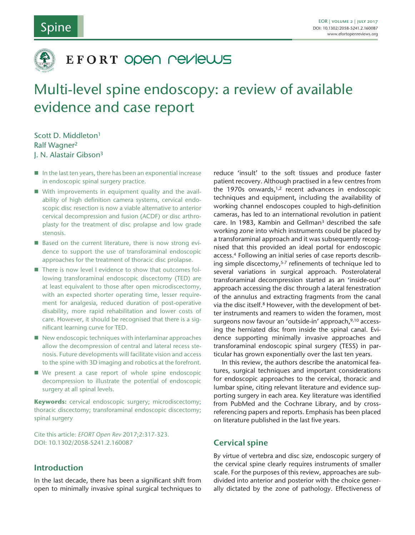## Spine



## EFORT OPEN NEVIEWS

# Multi-level spine endoscopy: a review of available evidence and case report

Scott D. Middleton1 Ralf Wagner2 J. N. Alastair Gibson3

- $\blacksquare$  In the last ten years, there has been an exponential increase in endoscopic spinal surgery practice.
- With improvements in equipment quality and the availability of high definition camera systems, cervical endoscopic disc resection is now a viable alternative to anterior cervical decompression and fusion (ACDF) or disc arthroplasty for the treatment of disc prolapse and low grade stenosis.
- Based on the current literature, there is now strong evidence to support the use of transforaminal endoscopic approaches for the treatment of thoracic disc prolapse.
- There is now level I evidence to show that outcomes following transforaminal endoscopic discectomy (TED) are at least equivalent to those after open microdiscectomy, with an expected shorter operating time, lesser requirement for analgesia, reduced duration of post-operative disability, more rapid rehabilitation and lower costs of care. However, it should be recognised that there is a significant learning curve for TED.
- $\blacksquare$  New endoscopic techniques with interlaminar approaches allow the decompression of central and lateral recess stenosis. Future developments will facilitate vision and access to the spine with 3D imaging and robotics at the forefront.
- We present a case report of whole spine endoscopic decompression to illustrate the potential of endoscopic surgery at all spinal levels.

**Keywords:** cervical endoscopic surgery; microdiscectomy; thoracic discectomy; transforaminal endoscopic discectomy; spinal surgery

Cite this article: *EFORT Open Rev* 2017;2:317-323. DOI: 10.1302/2058-5241.2.160087

## **Introduction**

In the last decade, there has been a significant shift from open to minimally invasive spinal surgical techniques to

reduce 'insult' to the soft tissues and produce faster patient recovery. Although practised in a few centres from the 1970s onwards, $1,2$  recent advances in endoscopic techniques and equipment, including the availability of working channel endoscopes coupled to high-definition cameras, has led to an international revolution in patient care. In 1983, Kambin and Gellman<sup>3</sup> described the safe working zone into which instruments could be placed by a transforaminal approach and it was subsequently recognised that this provided an ideal portal for endoscopic access.4 Following an initial series of case reports describing simple discectomy,<sup>5-7</sup> refinements of technique led to several variations in surgical approach. Posterolateral transforaminal decompression started as an 'inside-out' approach accessing the disc through a lateral fenestration of the annulus and extracting fragments from the canal via the disc itself.8 However, with the development of better instruments and reamers to widen the foramen, most surgeons now favour an 'outside-in' approach, 9,10 accessing the herniated disc from inside the spinal canal. Evidence supporting minimally invasive approaches and transforaminal endoscopic spinal surgery (TESS) in particular has grown exponentially over the last ten years.

In this review, the authors describe the anatomical features, surgical techniques and important considerations for endoscopic approaches to the cervical, thoracic and lumbar spine, citing relevant literature and evidence supporting surgery in each area. Key literature was identified from PubMed and the Cochrane Library, and by crossreferencing papers and reports. Emphasis has been placed on literature published in the last five years.

### **Cervical spine**

By virtue of vertebra and disc size, endoscopic surgery of the cervical spine clearly requires instruments of smaller scale. For the purposes of this review, approaches are subdivided into anterior and posterior with the choice generally dictated by the zone of pathology. Effectiveness of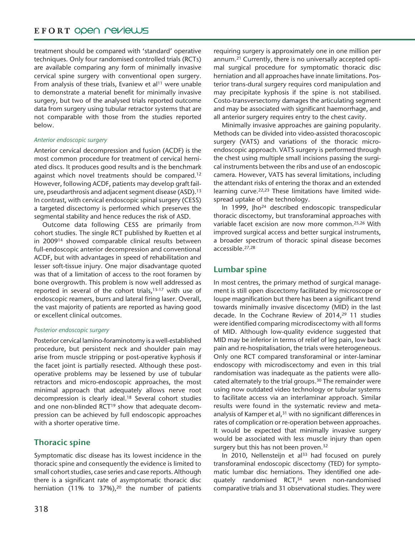## EFORT OPEN PEVIEWS

treatment should be compared with 'standard' operative techniques. Only four randomised controlled trials (RCTs) are available comparing any form of minimally invasive cervical spine surgery with conventional open surgery. From analysis of these trials, Evaniew et al<sup>11</sup> were unable to demonstrate a material benefit for minimally invasive surgery, but two of the analysed trials reported outcome data from surgery using tubular retractor systems that are not comparable with those from the studies reported below.

#### *Anterior endoscopic surgery*

Anterior cervical decompression and fusion (ACDF) is the most common procedure for treatment of cervical herniated discs. It produces good results and is the benchmark against which novel treatments should be compared.<sup>12</sup> However, following ACDF, patients may develop graft failure, pseudarthrosis and adjacent segment disease (ASD).13 In contrast, with cervical endoscopic spinal surgery (CESS) a targeted discectomy is performed which preserves the segmental stability and hence reduces the risk of ASD.

Outcome data following CESS are primarily from cohort studies. The single RCT published by Ruetten et al in 200914 showed comparable clinical results between full-endoscopic anterior decompression and conventional ACDF, but with advantages in speed of rehabilitation and lesser soft-tissue injury. One major disadvantage quoted was that of a limitation of access to the root foramen by bone overgrowth. This problem is now well addressed as reported in several of the cohort trials, $15-17$  with use of endoscopic reamers, burrs and lateral firing laser. Overall, the vast majority of patients are reported as having good or excellent clinical outcomes.

#### *Posterior endoscopic surgery*

Posterior cervical lamino-foraminotomy is a well-established procedure, but persistent neck and shoulder pain may arise from muscle stripping or post-operative kyphosis if the facet joint is partially resected. Although these postoperative problems may be lessened by use of tubular retractors and micro-endoscopic approaches, the most minimal approach that adequately allows nerve root decompression is clearly ideal.18 Several cohort studies and one non-blinded RCT<sup>19</sup> show that adequate decompression can be achieved by full endoscopic approaches with a shorter operative time.

## **Thoracic spine**

Symptomatic disc disease has its lowest incidence in the thoracic spine and consequently the evidence is limited to small cohort studies, case series and case reports. Although there is a significant rate of asymptomatic thoracic disc herniation (11% to 37%),<sup>20</sup> the number of patients

requiring surgery is approximately one in one million per annum.21 Currently, there is no universally accepted optimal surgical procedure for symptomatic thoracic disc herniation and all approaches have innate limitations. Posterior trans-dural surgery requires cord manipulation and may precipitate kyphosis if the spine is not stabilised. Costo-transversectomy damages the articulating segment and may be associated with significant haemorrhage, and all anterior surgery requires entry to the chest cavity.

Minimally invasive approaches are gaining popularity. Methods can be divided into video-assisted thoracoscopic surgery (VATS) and variations of the thoracic microendoscopic approach. VATS surgery is performed through the chest using multiple small incisions passing the surgical instruments between the ribs and use of an endoscopic camera. However, VATS has several limitations, including the attendant risks of entering the thorax and an extended learning curve.22,23 These limitations have limited widespread uptake of the technology.

In 1999, Jho24 described endoscopic transpedicular thoracic discectomy, but transforaminal approaches with variable facet excision are now more common.25,26 With improved surgical access and better surgical instruments, a broader spectrum of thoracic spinal disease becomes accessible.27,28

## **Lumbar spine**

In most centres, the primary method of surgical management is still open discectomy facilitated by microscope or loupe magnification but there has been a significant trend towards minimally invasive discectomy (MID) in the last decade. In the Cochrane Review of 2014,29 11 studies were identified comparing microdiscectomy with all forms of MID. Although low-quality evidence suggested that MID may be inferior in terms of relief of leg pain, low back pain and re-hospitalisation, the trials were heterogeneous. Only one RCT compared transforaminal or inter-laminar endoscopy with microdiscectomy and even in this trial randomisation was inadequate as the patients were allocated alternately to the trial groups.<sup>30</sup> The remainder were using now outdated video technology or tubular systems to facilitate access via an interlaminar approach. Similar results were found in the systematic review and metaanalysis of Kamper et al,<sup>31</sup> with no significant differences in rates of complication or re-operation between approaches. It would be expected that minimally invasive surgery would be associated with less muscle injury than open surgery but this has not been proven.<sup>32</sup>

In 2010, Nellensteijn et al<sup>33</sup> had focused on purely transforaminal endoscopic discectomy (TED) for symptomatic lumbar disc herniations. They identified one adequately randomised RCT,<sup>34</sup> seven non-randomised comparative trials and 31 observational studies. They were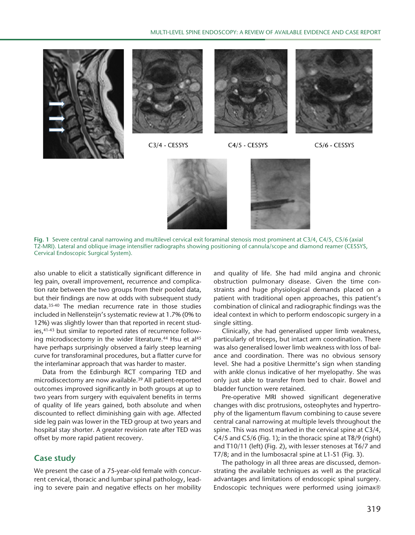

**Fig. 1** Severe central canal narrowing and multilevel cervical exit foraminal stenosis most prominent at C3/4, C4/5, C5/6 (axial T2-MRI). Lateral and oblique image intensifier radiographs showing positioning of cannula/scope and diamond reamer (CESSYS, Cervical Endoscopic Surgical System).

also unable to elicit a statistically significant difference in leg pain, overall improvement, recurrence and complication rate between the two groups from their pooled data, but their findings are now at odds with subsequent study data.35-40 The median recurrence rate in those studies included in Nellensteijn's systematic review at 1.7% (0% to 12%) was slightly lower than that reported in recent studies, <sup>41-43</sup> but similar to reported rates of recurrence following microdiscectomy in the wider literature.<sup>44</sup> Hsu et al<sup>45</sup> have perhaps surprisingly observed a fairly steep learning curve for transforaminal procedures, but a flatter curve for the interlaminar approach that was harder to master.

Data from the Edinburgh RCT comparing TED and microdiscectomy are now available.39 All patient-reported outcomes improved significantly in both groups at up to two years from surgery with equivalent benefits in terms of quality of life years gained, both absolute and when discounted to reflect diminishing gain with age. Affected side leg pain was lower in the TED group at two years and hospital stay shorter. A greater revision rate after TED was offset by more rapid patient recovery.

## **Case study**

We present the case of a 75-year-old female with concurrent cervical, thoracic and lumbar spinal pathology, leading to severe pain and negative effects on her mobility and quality of life. She had mild angina and chronic obstruction pulmonary disease. Given the time constraints and huge physiological demands placed on a patient with traditional open approaches, this patient's combination of clinical and radiographic findings was the ideal context in which to perform endoscopic surgery in a single sitting.

Clinically, she had generalised upper limb weakness, particularly of triceps, but intact arm coordination. There was also generalised lower limb weakness with loss of balance and coordination. There was no obvious sensory level. She had a positive Lhermitte's sign when standing with ankle clonus indicative of her myelopathy. She was only just able to transfer from bed to chair. Bowel and bladder function were retained.

Pre-operative MRI showed significant degenerative changes with disc protrusions, osteophytes and hypertrophy of the ligamentum flavum combining to cause severe central canal narrowing at multiple levels throughout the spine. This was most marked in the cervical spine at C3/4, C4/5 and C5/6 (Fig. 1); in the thoracic spine at T8/9 (right) and T10/11 (left) (Fig. 2), with lesser stenoses at T6/7 and T7/8; and in the lumbosacral spine at L1-S1 (Fig. 3).

The pathology in all three areas are discussed, demonstrating the available techniques as well as the practical advantages and limitations of endoscopic spinal surgery. Endoscopic techniques were performed using joimax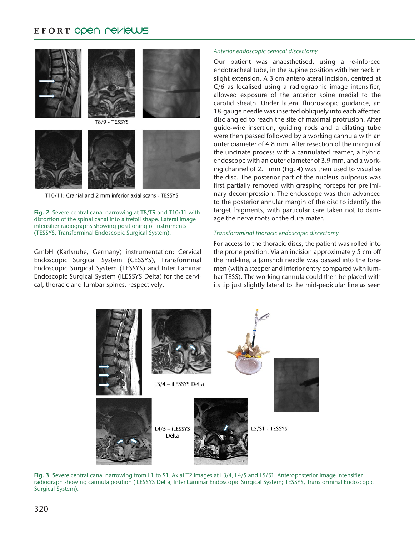## EFORT ODEN PEVIEWS



T10/11: Cranial and 2 mm inferior axial scans - TESSYS

#### **Fig. 2** Severe central canal narrowing at T8/T9 and T10/11 with distortion of the spinal canal into a trefoil shape. Lateral image intensifier radiographs showing positioning of instruments (TESSYS, Transforminal Endoscopic Surgical System).

GmbH (Karlsruhe, Germany) instrumentation: Cervical Endoscopic Surgical System (CESSYS), Transforminal Endoscopic Surgical System (TESSYS) and Inter Laminar Endoscopic Surgical System (iLESSYS Delta) for the cervical, thoracic and lumbar spines, respectively.

#### *Anterior endoscopic cervical discectomy*

Our patient was anaesthetised, using a re-inforced endotracheal tube, in the supine position with her neck in slight extension. A 3 cm anterolateral incision, centred at C/6 as localised using a radiographic image intensifier, allowed exposure of the anterior spine medial to the carotid sheath. Under lateral fluoroscopic guidance, an 18-gauge needle was inserted obliquely into each affected disc angled to reach the site of maximal protrusion. After guide-wire insertion, guiding rods and a dilating tube were then passed followed by a working cannula with an outer diameter of 4.8 mm. After resection of the margin of the uncinate process with a cannulated reamer, a hybrid endoscope with an outer diameter of 3.9 mm, and a working channel of 2.1 mm (Fig. 4) was then used to visualise the disc. The posterior part of the nucleus pulposus was first partially removed with grasping forceps for preliminary decompression. The endoscope was then advanced to the posterior annular margin of the disc to identify the target fragments, with particular care taken not to damage the nerve roots or the dura mater.

#### *Transforaminal thoracic endoscopic discectomy*

For access to the thoracic discs, the patient was rolled into the prone position. Via an incision approximately 5 cm off the mid-line, a Jamshidi needle was passed into the foramen (with a steeper and inferior entry compared with lumbar TESS). The working cannula could then be placed with its tip just slightly lateral to the mid-pedicular line as seen



**Fig. 3** Severe central canal narrowing from L1 to S1. Axial T2 images at L3/4, L4/5 and L5/S1. Anteroposterior image intensifier radiograph showing cannula position (iLESSYS Delta, Inter Laminar Endoscopic Surgical System; TESSYS, Transforminal Endoscopic Surgical System).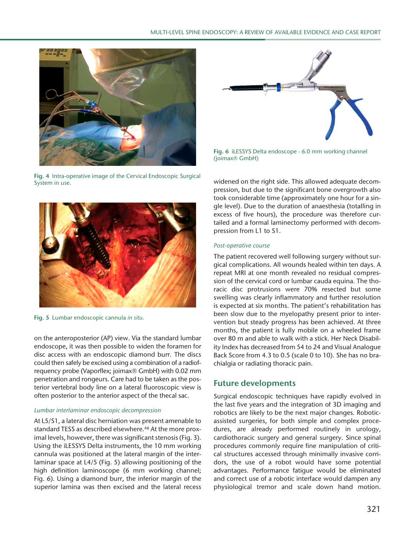

**Fig. 4** Intra-operative image of the Cervical Endoscopic Surgical System in use.



**Fig. 6** iLESSYS Delta endoscope - 6.0 mm working channel (joimax<sup>®</sup> GmbH)



#### *Post-operative course*

The patient recovered well following surgery without surgical complications. All wounds healed within ten days. A repeat MRI at one month revealed no residual compression of the cervical cord or lumbar cauda equina. The thoracic disc protrusions were 70% resected but some swelling was clearly inflammatory and further resolution is expected at six months. The patient's rehabilitation has been slow due to the myelopathy present prior to intervention but steady progress has been achieved. At three months, the patient is fully mobile on a wheeled frame over 80 m and able to walk with a stick. Her Neck Disability Index has decreased from 54 to 24 and Visual Analogue Back Score from 4.3 to 0.5 (scale 0 to 10). She has no brachialgia or radiating thoracic pain.

## **Future developments**

Surgical endoscopic techniques have rapidly evolved in the last five years and the integration of 3D imaging and robotics are likely to be the next major changes. Roboticassisted surgeries, for both simple and complex procedures, are already performed routinely in urology, cardiothoracic surgery and general surgery. Since spinal procedures commonly require fine manipulation of critical structures accessed through minimally invasive corridors, the use of a robot would have some potential advantages. Performance fatigue would be eliminated and correct use of a robotic interface would dampen any physiological tremor and scale down hand motion.



**Fig. 5** Lumbar endoscopic cannula *in situ*.

on the anteroposterior (AP) view. Via the standard lumbar endoscope, it was then possible to widen the foramen for disc access with an endoscopic diamond burr. The discs could then safely be excised using a combination of a radiofrequency probe (Vaporflex; joimax® GmbH) with 0.02 mm penetration and rongeurs. Care had to be taken as the posterior vertebral body line on a lateral fluoroscopic view is often posterior to the anterior aspect of the thecal sac.

#### *Lumbar interlaminar endoscopic decompression*

At L5/S1, a lateral disc herniation was present amenable to standard TESS as described elsewhere.<sup>46</sup> At the more proximal levels, however, there was significant stenosis (Fig. 3). Using the iLESSYS Delta instruments, the 10 mm working cannula was positioned at the lateral margin of the interlaminar space at L4/5 (Fig. 5) allowing positioning of the high definition laminoscope (6 mm working channel; Fig. 6). Using a diamond burr, the inferior margin of the superior lamina was then excised and the lateral recess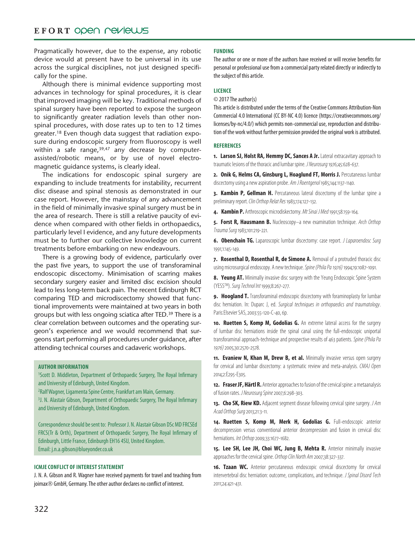## EFORT OPEN PEVIEWS

Pragmatically however, due to the expense, any robotic device would at present have to be universal in its use across the surgical disciplines, not just designed specifically for the spine.

Although there is minimal evidence supporting most advances in technology for spinal procedures, it is clear that improved imaging will be key. Traditional methods of spinal surgery have been reported to expose the surgeon to significantly greater radiation levels than other nonspinal procedures, with dose rates up to ten to 12 times greater.18 Even though data suggest that radiation exposure during endoscopic surgery from fluoroscopy is well within a safe range, $39,47$  any decrease by computerassisted/robotic means, or by use of novel electromagnetic guidance systems, is clearly ideal.

The indications for endoscopic spinal surgery are expanding to include treatments for instability, recurrent disc disease and spinal stenosis as demonstrated in our case report. However, the mainstay of any advancement in the field of minimally invasive spinal surgery must be in the area of research. There is still a relative paucity of evidence when compared with other fields in orthopaedics, particularly level I evidence, and any future developments must be to further our collective knowledge on current treatments before embarking on new endeavours.

There is a growing body of evidence, particularly over the past five years, to support the use of transforaminal endoscopic discectomy. Minimisation of scarring makes secondary surgery easier and limited disc excision should lead to less long-term back pain. The recent Edinburgh RCT comparing TED and microdiscectomy showed that functional improvements were maintained at two years in both groups but with less ongoing sciatica after TED.39 There is a clear correlation between outcomes and the operating surgeon's experience and we would recommend that surgeons start performing all procedures under guidance, after attending technical courses and cadaveric workshops.

#### **Author Information**

<sup>1</sup>Scott D. Middleton, Department of Orthopaedic Surgery, The Royal Infirmary and University of Edinburgh, United Kingdom.

2 Ralf Wagner, Ligamenta Spine Centre, Frankfurt am Main, Germany.

<sup>3</sup>J. N. Alastair Gibson, Department of Orthopaedic Surgery, The Royal Infirmary and University of Edinburgh, United Kingdom.

Correspondence should be sent to: Professor J. N. Alastair Gibson DSc MD FRCSEd FRCS(Tr & Orth), Department of Orthopaedic Surgery, The Royal Infirmary of Edinburgh, Little France, Edinburgh EH16 4SU, United Kingdom. Email: j.n.a.gibson@blueyonder.co.uk

#### **ICMJE Conflict of interest statement**

J. N. A. Gibson and R. Wagner have received payments for travel and teaching from joimax<sup>®</sup> GmbH, Germany. The other author declares no conflict of interest.

#### **Funding**

The author or one or more of the authors have received or will receive benefits for personal or professional use from a commercial party related directly or indirectly to the subject of this article.

#### **Licence**

#### © 2017 The author(s)

This article is distributed under the terms of the Creative Commons Attribution-Non Commercial 4.0 International (CC BY-NC 4.0) licence (https://creativecommons.org/ licenses/by-nc/4.0/) which permits non-commercial use, reproduction and distribution of the work without further permission provided the original work is attributed.

#### **References**

**1. Larson SJ, Holst RA, Hemmy DC, Sances A Jr.** Lateral extracavitary approach to traumatic lesions of the thoracic and lumbar spine. *J Neurosurg* 1976;45:628-637.

**2. Onik G, Helms CA, Ginsburg L, Hoaglund FT, Morris J.** Percutaneous lumbar discectomy using a new aspiration probe. *Am J Roentgenol* 1985;144:1137-1140.

**3. Kambin P, Gellman H.** Percutaneous lateral discectomy of the lumbar spine a preliminary report. *Clin Orthop Relat Res* 1983;174:127-132.

**4. Kambin P.** Arthroscopic microdiskectomy. *Mt Sinai J Med* 1991;58:159-164.

**5. Forst R, Hausmann B.** Nucleoscopy–a new examination technique. *Arch Orthop Trauma Surg* 1983;101:219-221.

**6. Obenchain TG.** Laparoscopic lumbar discectomy: case report. *J Laparoendosc Surg* 1991;1:145-149.

**7. Rosenthal D, Rosenthal R, de Simone A.** Removal of a protruded thoracic disc using microsurgical endoscopy. A new technique. *Spine (Phila Pa 1976)* 1994;19:1087-1091.

8. Yeung AT. Minimally invasive disc surgery with the Yeung Endoscopic Spine System (YESSTM). *Surg Technol Int* 1999;8:267-277.

**9. Hoogland T.** Transforaminal endoscopic discectomy with foraminoplasty for lumbar disc herniation. In: Duparc J, ed. *Surgical techniques in orthopaedics and traumatology*. Paris:Elsevier SAS, 2003:55-120-C-40, 6p.

**10. Ruetten S, Komp M, Godolias G.** An extreme lateral access for the surgery of lumbar disc herniations inside the spinal canal using the full-endoscopic uniportal transforaminal approach-technique and prospective results of 463 patients. *Spine (Phila Pa 1976)* 2005;30:2570-2578.

11. **Evaniew N, Khan M, Drew B, et al.** Minimally invasive versus open surgery for cervical and lumbar discectomy: a systematic review and meta-analysis. *CMAJ Open* 2014;2:E295-E305.

**12. Fraser JF, Härtl R.** Anterior approaches to fusion of the cervical spine: a metaanalysis of fusion rates. *J Neurosurg Spine* 2007;6:298-303.

**13. Cho SK, Riew KD.** Adjacent segment disease following cervical spine surgery. *J Am Acad Orthop Surg* 2013;21:3-11.

**14. Ruetten S, Komp M, Merk H, Godolias G.** Full-endoscopic anterior decompression versus conventional anterior decompression and fusion in cervical disc herniations. *Int Orthop* 2009;33:1677-1682.

15. Lee SH, Lee JH, Choi WC, Jung B, Mehta R. Anterior minimally invasive approaches for the cervical spine. *Orthop Clin North Am* 2007;38:327-337.

**16. Tzaan WC.** Anterior percutaneous endoscopic cervical discectomy for cervical intervertebral disc herniation: outcome, complications, and technique. *J Spinal Disord Tech* 2011;24:421-431.